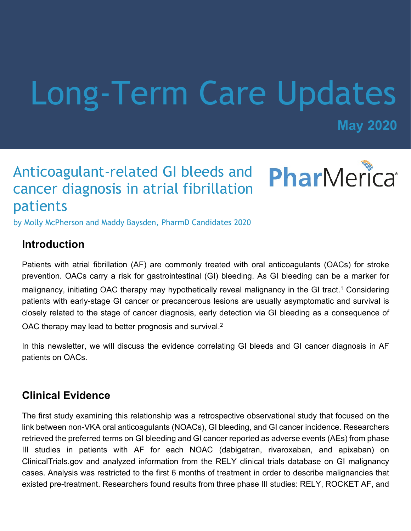# Long-Term Care Updates

**May 2020**

## PharMerica® Anticoagulant-related GI bleeds and cancer diagnosis in atrial fibrillation patients

by Molly McPherson and Maddy Baysden, PharmD Candidates 2020

#### **Introduction**

Patients with atrial fibrillation (AF) are commonly treated with oral anticoagulants (OACs) for stroke prevention. OACs carry a risk for gastrointestinal (GI) bleeding. As GI bleeding can be a marker for malignancy, initiating OAC therapy may hypothetically reveal malignancy in the GI tract.1 Considering patients with early-stage GI cancer or precancerous lesions are usually asymptomatic and survival is closely related to the stage of cancer diagnosis, early detection via GI bleeding as a consequence of OAC therapy may lead to better prognosis and survival.<sup>2</sup>

In this newsletter, we will discuss the evidence correlating GI bleeds and GI cancer diagnosis in AF patients on OACs.

### **Clinical Evidence**

The first study examining this relationship was a retrospective observational study that focused on the link between non-VKA oral anticoagulants (NOACs), GI bleeding, and GI cancer incidence. Researchers retrieved the preferred terms on GI bleeding and GI cancer reported as adverse events (AEs) from phase III studies in patients with AF for each NOAC (dabigatran, rivaroxaban, and apixaban) on ClinicalTrials.gov and analyzed information from the RELY clinical trials database on GI malignancy cases. Analysis was restricted to the first 6 months of treatment in order to describe malignancies that existed pre-treatment. Researchers found results from three phase III studies: RELY, ROCKET AF, and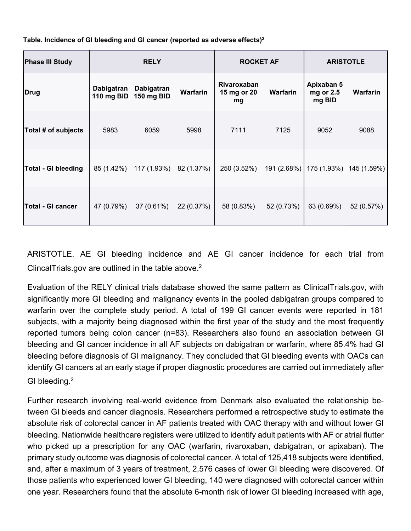**Table. Incidence of GI bleeding and GI cancer (reported as adverse effects)2**

| <b>Phase III Study</b>     | <b>RELY</b> |                                     |                 | <b>ROCKET AF</b>                 |            | <b>ARISTOTLE</b>                      |            |
|----------------------------|-------------|-------------------------------------|-----------------|----------------------------------|------------|---------------------------------------|------------|
| Drug                       | Dabigatran  | Dabigatran<br>110 mg BID 150 mg BID | <b>Warfarin</b> | Rivaroxaban<br>15 mg or 20<br>mg | Warfarin   | Apixaban 5<br>mg or 2.5<br>mg BID     | Warfarin   |
| Total # of subjects        | 5983        | 6059                                | 5998            | 7111                             | 7125       | 9052                                  | 9088       |
| <b>Total - GI bleeding</b> |             | 85 (1.42%) 117 (1.93%)              | 82 (1.37%)      | 250 (3.52%)                      |            | 191 (2.68%)   175 (1.93%) 145 (1.59%) |            |
| <b>Total - GI cancer</b>   | 47 (0.79%)  | 37 (0.61%)                          | 22 (0.37%)      | 58 (0.83%)                       | 52 (0.73%) | 63 (0.69%)                            | 52 (0.57%) |

ARISTOTLE. AE GI bleeding incidence and AE GI cancer incidence for each trial from ClincalTrials.gov are outlined in the table above.<sup>2</sup>

Evaluation of the RELY clinical trials database showed the same pattern as ClinicalTrials.gov, with significantly more GI bleeding and malignancy events in the pooled dabigatran groups compared to warfarin over the complete study period. A total of 199 GI cancer events were reported in 181 subjects, with a majority being diagnosed within the first year of the study and the most frequently reported tumors being colon cancer (n=83). Researchers also found an association between GI bleeding and GI cancer incidence in all AF subjects on dabigatran or warfarin, where 85.4% had GI bleeding before diagnosis of GI malignancy. They concluded that GI bleeding events with OACs can identify GI cancers at an early stage if proper diagnostic procedures are carried out immediately after GI bleeding.<sup>2</sup>

Further research involving real-world evidence from Denmark also evaluated the relationship between GI bleeds and cancer diagnosis. Researchers performed a retrospective study to estimate the absolute risk of colorectal cancer in AF patients treated with OAC therapy with and without lower GI bleeding. Nationwide healthcare registers were utilized to identify adult patients with AF or atrial flutter who picked up a prescription for any OAC (warfarin, rivaroxaban, dabigatran, or apixaban). The primary study outcome was diagnosis of colorectal cancer. A total of 125,418 subjects were identified, and, after a maximum of 3 years of treatment, 2,576 cases of lower GI bleeding were discovered. Of those patients who experienced lower GI bleeding, 140 were diagnosed with colorectal cancer within one year. Researchers found that the absolute 6-month risk of lower GI bleeding increased with age,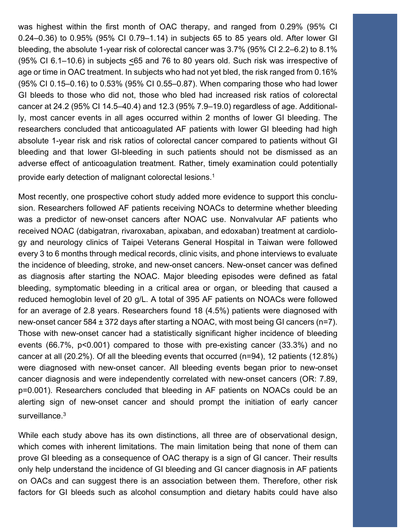was highest within the first month of OAC therapy, and ranged from 0.29% (95% CI 0.24–0.36) to 0.95% (95% CI 0.79–1.14) in subjects 65 to 85 years old. After lower GI bleeding, the absolute 1-year risk of colorectal cancer was 3.7% (95% CI 2.2–6.2) to 8.1% (95% CI 6.1–10.6) in subjects <65 and 76 to 80 years old. Such risk was irrespective of age or time in OAC treatment. In subjects who had not yet bled, the risk ranged from 0.16% (95% CI 0.15–0.16) to 0.53% (95% CI 0.55–0.87). When comparing those who had lower GI bleeds to those who did not, those who bled had increased risk ratios of colorectal cancer at 24.2 (95% CI 14.5–40.4) and 12.3 (95% 7.9–19.0) regardless of age. Additionally, most cancer events in all ages occurred within 2 months of lower GI bleeding. The researchers concluded that anticoagulated AF patients with lower GI bleeding had high absolute 1-year risk and risk ratios of colorectal cancer compared to patients without GI bleeding and that lower GI-bleeding in such patients should not be dismissed as an adverse effect of anticoagulation treatment. Rather, timely examination could potentially provide early detection of malignant colorectal lesions.<sup>1</sup>

Most recently, one prospective cohort study added more evidence to support this conclusion. Researchers followed AF patients receiving NOACs to determine whether bleeding was a predictor of new-onset cancers after NOAC use. Nonvalvular AF patients who received NOAC (dabigatran, rivaroxaban, apixaban, and edoxaban) treatment at cardiology and neurology clinics of Taipei Veterans General Hospital in Taiwan were followed every 3 to 6 months through medical records, clinic visits, and phone interviews to evaluate the incidence of bleeding, stroke, and new-onset cancers. New-onset cancer was defined as diagnosis after starting the NOAC. Major bleeding episodes were defined as fatal bleeding, symptomatic bleeding in a critical area or organ, or bleeding that caused a reduced hemoglobin level of 20 g/L. A total of 395 AF patients on NOACs were followed for an average of 2.8 years. Researchers found 18 (4.5%) patients were diagnosed with new-onset cancer 584 ± 372 days after starting a NOAC, with most being GI cancers (n=7). Those with new-onset cancer had a statistically significant higher incidence of bleeding events (66.7%, p<0.001) compared to those with pre-existing cancer (33.3%) and no cancer at all (20.2%). Of all the bleeding events that occurred (n=94), 12 patients (12.8%) were diagnosed with new-onset cancer. All bleeding events began prior to new-onset cancer diagnosis and were independently correlated with new-onset cancers (OR: 7.89, p=0.001). Researchers concluded that bleeding in AF patients on NOACs could be an alerting sign of new-onset cancer and should prompt the initiation of early cancer surveillance.<sup>3</sup>

While each study above has its own distinctions, all three are of observational design, which comes with inherent limitations. The main limitation being that none of them can prove GI bleeding as a consequence of OAC therapy is a sign of GI cancer. Their results only help understand the incidence of GI bleeding and GI cancer diagnosis in AF patients on OACs and can suggest there is an association between them. Therefore, other risk factors for GI bleeds such as alcohol consumption and dietary habits could have also